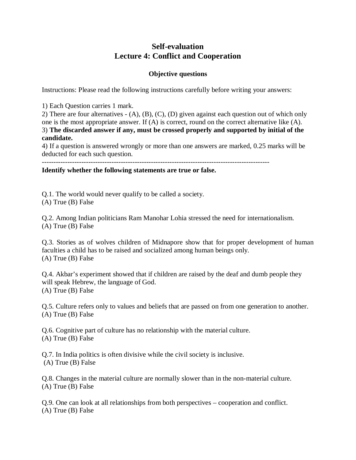# **Self-evaluation Lecture 4: Conflict and Cooperation**

## **Objective questions**

Instructions: Please read the following instructions carefully before writing your answers:

1) Each Question carries 1 mark.

2) There are four alternatives - (A), (B), (C), (D) given against each question out of which only one is the most appropriate answer. If (A) is correct, round on the correct alternative like (A). 3) **The discarded answer if any, must be crossed properly and supported by initial of the candidate.**

4) If a question is answered wrongly or more than one answers are marked, 0.25 marks will be deducted for each such question.

--------------------------------------------------------------------------------------------------

### **Identify whether the following statements are true or false.**

Q.1. The world would never qualify to be called a society. (A) True (B) False

Q.2. Among Indian politicians Ram Manohar Lohia stressed the need for internationalism. (A) True (B) False

Q.3. Stories as of wolves children of Midnapore show that for proper development of human faculties a child has to be raised and socialized among human beings only. (A) True (B) False

Q.4. Akbar's experiment showed that if children are raised by the deaf and dumb people they will speak Hebrew, the language of God. (A) True (B) False

Q.5. Culture refers only to values and beliefs that are passed on from one generation to another. (A) True (B) False

Q.6. Cognitive part of culture has no relationship with the material culture. (A) True (B) False

Q.7. In India politics is often divisive while the civil society is inclusive. (A) True (B) False

Q.8. Changes in the material culture are normally slower than in the non-material culture. (A) True (B) False

Q.9. One can look at all relationships from both perspectives – cooperation and conflict. (A) True (B) False